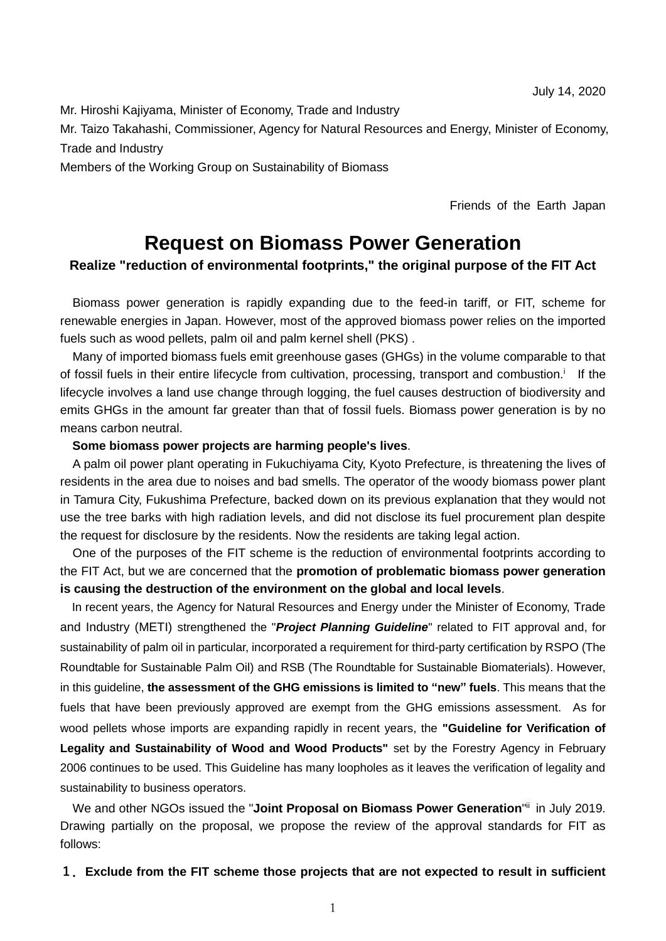Mr. Hiroshi Kajiyama, Minister of Economy, Trade and Industry

Mr. Taizo Takahashi, Commissioner, Agency for Natural Resources and Energy, Minister of Economy, Trade and Industry

Members of the Working Group on Sustainability of Biomass

Friends of the Earth Japan

# **Request on Biomass Power Generation**

## **Realize "reduction of environmental footprints," the original purpose of the FIT Act**

Biomass power generation is rapidly expanding due to the feed-in tariff, or FIT, scheme for renewable energies in Japan. However, most of the approved biomass power relies on the imported fuels such as wood pellets, palm oil and palm kernel shell (PKS) .

Many of imported biomass fuels emit greenhouse gases (GHGs) in the volume comparable to that of fossil fuels in their entire lifecycle from cultivation, processing, transport and combustion.<sup>i</sup> If the lifecycle involves a land use change through logging, the fuel causes destruction of biodiversity and emits GHGs in the amount far greater than that of fossil fuels. Biomass power generation is by no means carbon neutral.

### **Some biomass power projects are harming people's lives**.

A palm oil power plant operating in Fukuchiyama City, Kyoto Prefecture, is threatening the lives of residents in the area due to noises and bad smells. The operator of the woody biomass power plant in Tamura City, Fukushima Prefecture, backed down on its previous explanation that they would not use the tree barks with high radiation levels, and did not disclose its fuel procurement plan despite the request for disclosure by the residents. Now the residents are taking legal action.

One of the purposes of the FIT scheme is the reduction of environmental footprints according to the FIT Act, but we are concerned that the **promotion of problematic biomass power generation is causing the destruction of the environment on the global and local levels**.

In recent years, the Agency for Natural Resources and Energy under the Minister of Economy, Trade and Industry (METI) strengthened the "*Project Planning Guideline*" related to FIT approval and, for sustainability of palm oil in particular, incorporated a requirement for third-party certification by RSPO (The Roundtable for Sustainable Palm Oil) and RSB (The Roundtable for Sustainable Biomaterials). However, in this guideline, **the assessment of the GHG emissions is limited to "new" fuels**. This means that the fuels that have been previously approved are exempt from the GHG emissions assessment. As for wood pellets whose imports are expanding rapidly in recent years, the **"Guideline for Verification of Legality and Sustainability of Wood and Wood Products"** set by the Forestry Agency in February 2006 continues to be used. This Guideline has many loopholes as it leaves the verification of legality and sustainability to business operators.

We and other NGOs issued the "**Joint Proposal on Biomass Power Generation**"ii in July 2019. Drawing partially on the proposal, we propose the review of the approval standards for FIT as follows:

#### **1. Exclude from the FIT scheme those projects that are not expected to result in sufficient**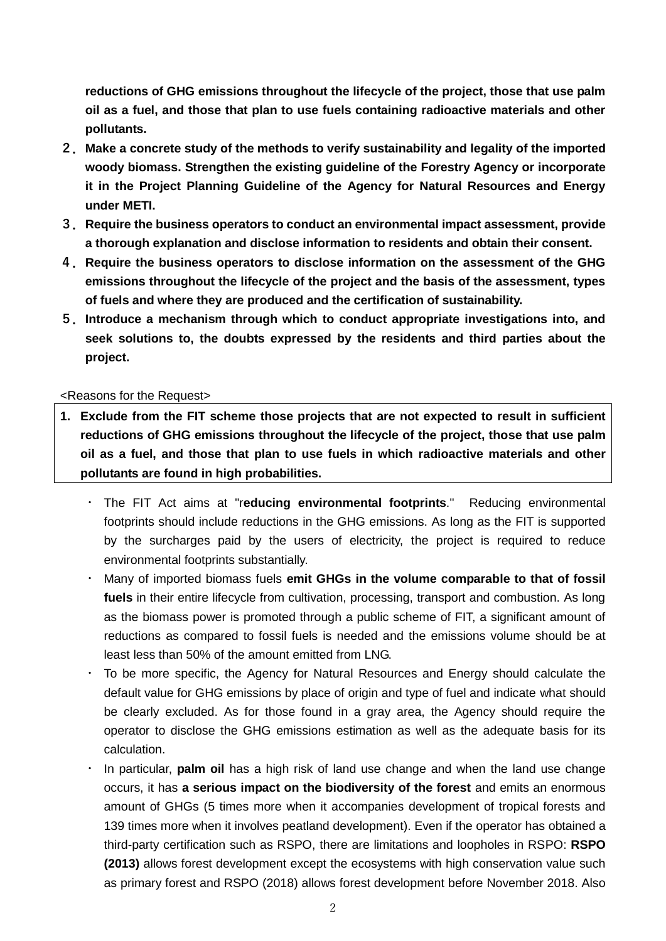**reductions of GHG emissions throughout the lifecycle of the project, those that use palm oil as a fuel, and those that plan to use fuels containing radioactive materials and other pollutants.**

- **2. Make a concrete study of the methods to verify sustainability and legality of the imported woody biomass. Strengthen the existing guideline of the Forestry Agency or incorporate it in the Project Planning Guideline of the Agency for Natural Resources and Energy under METI.**
- **3. Require the business operators to conduct an environmental impact assessment, provide a thorough explanation and disclose information to residents and obtain their consent.**
- **4. Require the business operators to disclose information on the assessment of the GHG emissions throughout the lifecycle of the project and the basis of the assessment, types of fuels and where they are produced and the certification of sustainability.**
- **5. Introduce a mechanism through which to conduct appropriate investigations into, and seek solutions to, the doubts expressed by the residents and third parties about the project.**

## <Reasons for the Request>

- **1. Exclude from the FIT scheme those projects that are not expected to result in sufficient reductions of GHG emissions throughout the lifecycle of the project, those that use palm oil as a fuel, and those that plan to use fuels in which radioactive materials and other pollutants are found in high probabilities.**
	- ・ The FIT Act aims at "r**educing environmental footprints**." Reducing environmental footprints should include reductions in the GHG emissions. As long as the FIT is supported by the surcharges paid by the users of electricity, the project is required to reduce environmental footprints substantially.
	- Many of imported biomass fuels emit GHGs in the volume comparable to that of fossil **fuels** in their entire lifecycle from cultivation, processing, transport and combustion. As long as the biomass power is promoted through a public scheme of FIT, a significant amount of reductions as compared to fossil fuels is needed and the emissions volume should be at least less than 50% of the amount emitted from LNG.
	- ・ To be more specific, the Agency for Natural Resources and Energy should calculate the default value for GHG emissions by place of origin and type of fuel and indicate what should be clearly excluded. As for those found in a gray area, the Agency should require the operator to disclose the GHG emissions estimation as well as the adequate basis for its calculation.
	- ・ In particular, **palm oil** has a high risk of land use change and when the land use change occurs, it has **a serious impact on the biodiversity of the forest** and emits an enormous amount of GHGs (5 times more when it accompanies development of tropical forests and 139 times more when it involves peatland development). Even if the operator has obtained a third-party certification such as RSPO, there are limitations and loopholes in RSPO: **RSPO (2013)** allows forest development except the ecosystems with high conservation value such as primary forest and RSPO (2018) allows forest development before November 2018. Also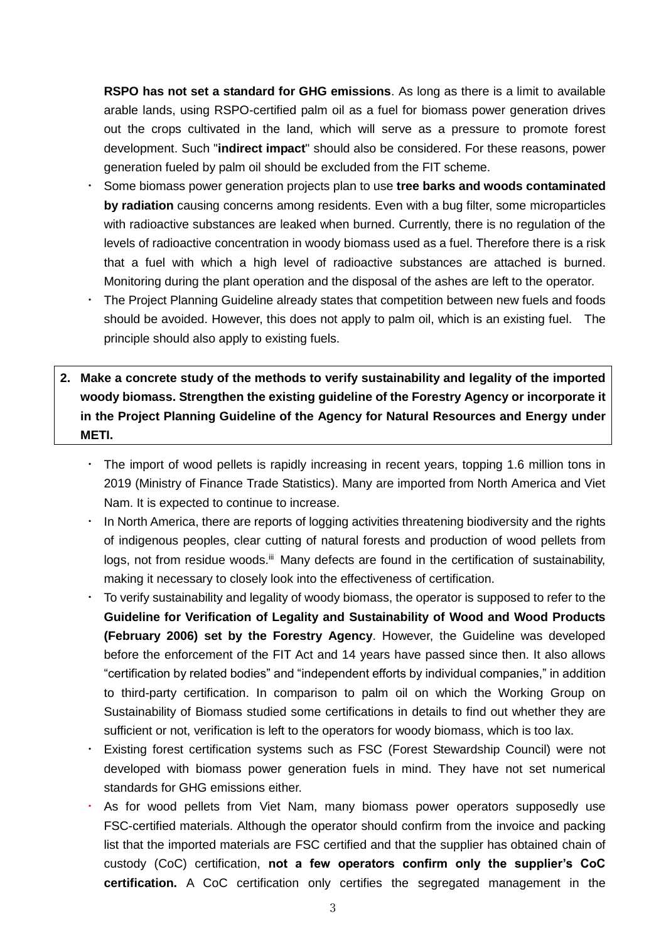**RSPO has not set a standard for GHG emissions**. As long as there is a limit to available arable lands, using RSPO-certified palm oil as a fuel for biomass power generation drives out the crops cultivated in the land, which will serve as a pressure to promote forest development. Such "**indirect impact**" should also be considered. For these reasons, power generation fueled by palm oil should be excluded from the FIT scheme.

- ・ Some biomass power generation projects plan to use **tree barks and woods contaminated by radiation** causing concerns among residents. Even with a bug filter, some microparticles with radioactive substances are leaked when burned. Currently, there is no regulation of the levels of radioactive concentration in woody biomass used as a fuel. Therefore there is a risk that a fuel with which a high level of radioactive substances are attached is burned. Monitoring during the plant operation and the disposal of the ashes are left to the operator.
- The Project Planning Guideline already states that competition between new fuels and foods should be avoided. However, this does not apply to palm oil, which is an existing fuel. The principle should also apply to existing fuels.
- **2. Make a concrete study of the methods to verify sustainability and legality of the imported woody biomass. Strengthen the existing guideline of the Forestry Agency or incorporate it in the Project Planning Guideline of the Agency for Natural Resources and Energy under METI.** 
	- The import of wood pellets is rapidly increasing in recent years, topping 1.6 million tons in 2019 (Ministry of Finance Trade Statistics). Many are imported from North America and Viet Nam. It is expected to continue to increase.
	- ・ In North America, there are reports of logging activities threatening biodiversity and the rights of indigenous peoples, clear cutting of natural forests and production of wood pellets from logs, not from residue woods.<sup>iii</sup> Many defects are found in the certification of sustainability, making it necessary to closely look into the effectiveness of certification.
	- To verify sustainability and legality of woody biomass, the operator is supposed to refer to the **Guideline for Verification of Legality and Sustainability of Wood and Wood Products (February 2006) set by the Forestry Agency**. However, the Guideline was developed before the enforcement of the FIT Act and 14 years have passed since then. It also allows "certification by related bodies" and "independent efforts by individual companies," in addition to third-party certification. In comparison to palm oil on which the Working Group on Sustainability of Biomass studied some certifications in details to find out whether they are sufficient or not, verification is left to the operators for woody biomass, which is too lax.
	- Existing forest certification systems such as FSC (Forest Stewardship Council) were not developed with biomass power generation fuels in mind. They have not set numerical standards for GHG emissions either.
	- As for wood pellets from Viet Nam, many biomass power operators supposedly use FSC-certified materials. Although the operator should confirm from the invoice and packing list that the imported materials are FSC certified and that the supplier has obtained chain of custody (CoC) certification, **not a few operators confirm only the supplier's CoC certification.** A CoC certification only certifies the segregated management in the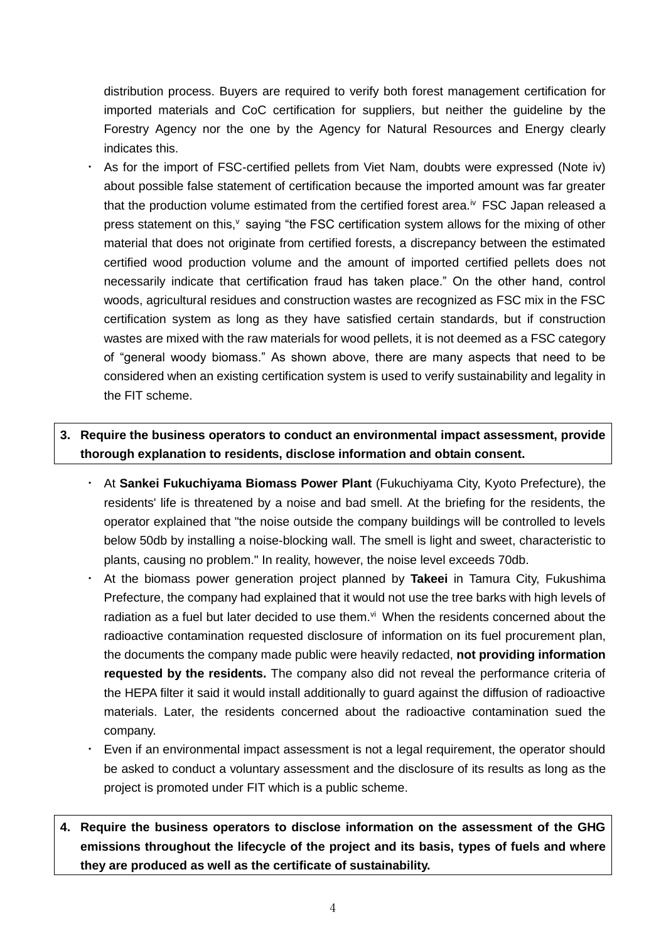distribution process. Buyers are required to verify both forest management certification for imported materials and CoC certification for suppliers, but neither the guideline by the Forestry Agency nor the one by the Agency for Natural Resources and Energy clearly indicates this.

・ As for the import of FSC-certified pellets from Viet Nam, doubts were expressed (Note iv) about possible false statement of certification because the imported amount was far greater that the production volume estimated from the certified forest area.<sup>iv</sup> FSC Japan released a press statement on this, $v$  saying "the FSC certification system allows for the mixing of other material that does not originate from certified forests, a discrepancy between the estimated certified wood production volume and the amount of imported certified pellets does not necessarily indicate that certification fraud has taken place." On the other hand, control woods, agricultural residues and construction wastes are recognized as FSC mix in the FSC certification system as long as they have satisfied certain standards, but if construction wastes are mixed with the raw materials for wood pellets, it is not deemed as a FSC category of "general woody biomass." As shown above, there are many aspects that need to be considered when an existing certification system is used to verify sustainability and legality in the FIT scheme.

## **3. Require the business operators to conduct an environmental impact assessment, provide thorough explanation to residents, disclose information and obtain consent.**

- ・ At **Sankei Fukuchiyama Biomass Power Plant** (Fukuchiyama City, Kyoto Prefecture), the residents' life is threatened by a noise and bad smell. At the briefing for the residents, the operator explained that "the noise outside the company buildings will be controlled to levels below 50db by installing a noise-blocking wall. The smell is light and sweet, characteristic to plants, causing no problem." In reality, however, the noise level exceeds 70db.
- ・ At the biomass power generation project planned by **Takeei** in Tamura City, Fukushima Prefecture, the company had explained that it would not use the tree barks with high levels of radiation as a fuel but later decided to use them.<sup>vi</sup> When the residents concerned about the radioactive contamination requested disclosure of information on its fuel procurement plan, the documents the company made public were heavily redacted, **not providing information requested by the residents.** The company also did not reveal the performance criteria of the HEPA filter it said it would install additionally to guard against the diffusion of radioactive materials. Later, the residents concerned about the radioactive contamination sued the company.
- Even if an environmental impact assessment is not a legal requirement, the operator should be asked to conduct a voluntary assessment and the disclosure of its results as long as the project is promoted under FIT which is a public scheme.
- **4. Require the business operators to disclose information on the assessment of the GHG emissions throughout the lifecycle of the project and its basis, types of fuels and where they are produced as well as the certificate of sustainability.**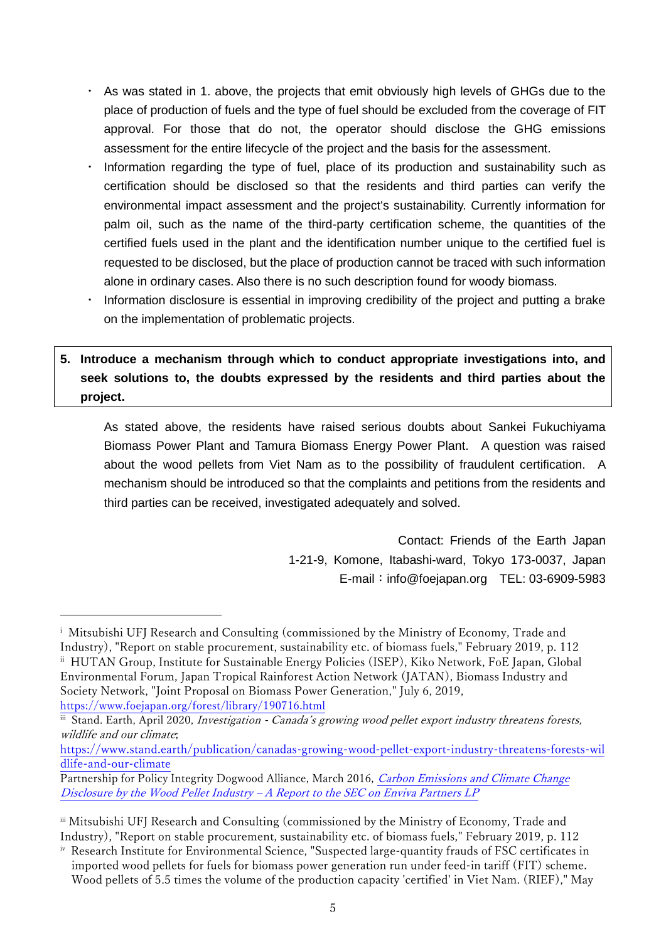- ・ As was stated in 1. above, the projects that emit obviously high levels of GHGs due to the place of production of fuels and the type of fuel should be excluded from the coverage of FIT approval. For those that do not, the operator should disclose the GHG emissions assessment for the entire lifecycle of the project and the basis for the assessment.
- Information regarding the type of fuel, place of its production and sustainability such as certification should be disclosed so that the residents and third parties can verify the environmental impact assessment and the project's sustainability. Currently information for palm oil, such as the name of the third-party certification scheme, the quantities of the certified fuels used in the plant and the identification number unique to the certified fuel is requested to be disclosed, but the place of production cannot be traced with such information alone in ordinary cases. Also there is no such description found for woody biomass.
- Information disclosure is essential in improving credibility of the project and putting a brake on the implementation of problematic projects.

## **5. Introduce a mechanism through which to conduct appropriate investigations into, and seek solutions to, the doubts expressed by the residents and third parties about the project.**

As stated above, the residents have raised serious doubts about Sankei Fukuchiyama Biomass Power Plant and Tamura Biomass Energy Power Plant. A question was raised about the wood pellets from Viet Nam as to the possibility of fraudulent certification. A mechanism should be introduced so that the complaints and petitions from the residents and third parties can be received, investigated adequately and solved.

> Contact: Friends of the Earth Japan 1-21-9, Komone, Itabashi-ward, Tokyo 173-0037, Japan E-mail: info@foejapan.org TEL: 03-6909-5983

<https://www.foejapan.org/forest/library/190716.html>

j

iii Stand. Earth, April 2020, Investigation - Canada's growing wood pellet export industry threatens forests, wildlife and our climate;

[https://www.stand.earth/publication/canadas-growing-wood-pellet-export-industry-threatens-forests-wil](https://www.stand.earth/publication/canadas-growing-wood-pellet-export-industry-threatens-forests-wildlife-and-our-climate) [dlife-and-our-climate](https://www.stand.earth/publication/canadas-growing-wood-pellet-export-industry-threatens-forests-wildlife-and-our-climate)

<sup>&</sup>lt;sup>i</sup> Mitsubishi UFJ Research and Consulting (commissioned by the Ministry of Economy, Trade and Industry), "Report on stable procurement, sustainability etc. of biomass fuels," February 2019, p. 112 ii HUTAN Group, Institute for Sustainable Energy Policies (ISEP), Kiko Network, FoE Japan, Global Environmental Forum, Japan Tropical Rainforest Action Network (JATAN), Biomass Industry and Society Network, "Joint Proposal on Biomass Power Generation," July 6, 2019,

Partnership for Policy Integrity Dogwood Alliance, March 2016, Carbon Emissions [and Climate Change](https://www.dogwoodalliance.org/wp-content/uploads/1999/11/Report-to-SEC-on-Enviva-March-14-2016.pdf?__cf_chl_captcha_tk__=5023d01a41f4a9d55784015c8654c9f60c7f8783-1597215733-0-AbImckO_T5DNK_zdwXEuq5OlhQ7aLg8Oyc9bRlZHOANUosedzvckWBvIaqKMU2tK9kcimK5Swck3tZq1dk1LNIykw3-ZwZUoIr81JSP2ghDovh2yVe3cBCIH7oDl3y4pjF9DxNoGY2QCDvz99yNMUW-zKrDJ6tn3dM4UfM27efpfykDkRtwwo5qr2FCAMGbnOoro9R8Kv2KJAdwxgt5q_KMhd4pUfxI97T9GPzfyyFcr80ISCoRJJCZ1N3voJl4nf5k8HN3VDS0m3JSPL_PSKIDIYU3MaAK6z9Uz48ZHZXAhV-g0ZG4ZqOzX8usen58iSwlq8y2eHfEyLSQnwk6dOlkg9Wi4rtLmChZzZF16WayAdy31rutfwwI3EsPKHo7N39XE7MZJDhChzEISLJ3CXfmTLjMU9GHRfa7rJA15IJpjr_faDEa9NMDS7xpJJKuXSwq2OFKR0ewiR5CEXB9T3B3FPLIO_gyy49jTMzTCTYgKKPG5YvfYceJQyf6MSXyX4VEsB-wMbhskhm3ENisvoH-Rl2Cek6Jc7dED6qR84JbTRkUzzjdGW6aGYRwuVfAJcPNzgG53ENXNKLnrVbS7xdo)  Disclosure by the Wood Pellet Industry – [A Report to the SEC on Enviva Partners LP](https://www.dogwoodalliance.org/wp-content/uploads/1999/11/Report-to-SEC-on-Enviva-March-14-2016.pdf?__cf_chl_captcha_tk__=5023d01a41f4a9d55784015c8654c9f60c7f8783-1597215733-0-AbImckO_T5DNK_zdwXEuq5OlhQ7aLg8Oyc9bRlZHOANUosedzvckWBvIaqKMU2tK9kcimK5Swck3tZq1dk1LNIykw3-ZwZUoIr81JSP2ghDovh2yVe3cBCIH7oDl3y4pjF9DxNoGY2QCDvz99yNMUW-zKrDJ6tn3dM4UfM27efpfykDkRtwwo5qr2FCAMGbnOoro9R8Kv2KJAdwxgt5q_KMhd4pUfxI97T9GPzfyyFcr80ISCoRJJCZ1N3voJl4nf5k8HN3VDS0m3JSPL_PSKIDIYU3MaAK6z9Uz48ZHZXAhV-g0ZG4ZqOzX8usen58iSwlq8y2eHfEyLSQnwk6dOlkg9Wi4rtLmChZzZF16WayAdy31rutfwwI3EsPKHo7N39XE7MZJDhChzEISLJ3CXfmTLjMU9GHRfa7rJA15IJpjr_faDEa9NMDS7xpJJKuXSwq2OFKR0ewiR5CEXB9T3B3FPLIO_gyy49jTMzTCTYgKKPG5YvfYceJQyf6MSXyX4VEsB-wMbhskhm3ENisvoH-Rl2Cek6Jc7dED6qR84JbTRkUzzjdGW6aGYRwuVfAJcPNzgG53ENXNKLnrVbS7xdo)

iii Mitsubishi UFJ Research and Consulting (commissioned by the Ministry of Economy, Trade and Industry), "Report on stable procurement, sustainability etc. of biomass fuels," February 2019, p. 112

iv Research Institute for Environmental Science, "Suspected large-quantity frauds of FSC certificates in imported wood pellets for fuels for biomass power generation run under feed-in tariff (FIT) scheme. Wood pellets of 5.5 times the volume of the production capacity 'certified' in Viet Nam. (RIEF)," May